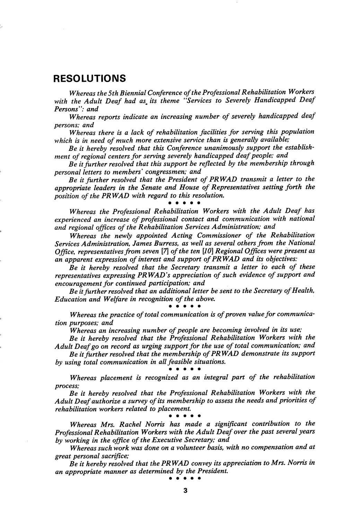# RESOLUTIONS

Whereas the 5th Biennial Conference of the Professional Rehabilitation Workers with the Adult Deaf had as its theme "Services to Severely Handicapped Deaf Persons": and

Whereas reports indicate an increasing number of severely handicapped deaf persons; and

Whereas there is a lack of rehabilitation facilities for serving this population which is in need of much more extensive service than is generally available;

Be it hereby resolved that this Conference unanimously support the establishment of regional centers for serving severely handicapped deaf people; and

Be it further resolved that this support be reflected by the membership through personal letters to members' congressmen; and

Be it further resolved that the President of PRWAD transmit a letter to the appropriate leaders in the Senate and House of Representatives setting forth the position of the PRWAD with regard to this resolution.<br>• • • • • •

Whereas the Professional Rehabilitation Workers with the Adult Deaf has experienced an increase of professional contact and communication with national and regional offices of the Rehabilitation Services Administration; and

Whereas the newly appointed Acting Commissioner of the Rehabilitation Services Administration, James Burress, as well as several others from the National Office, representatives from seven  $[7]$  of the ten  $[10]$  Regional Offices were present as an apparent expression of interest and support of PRWAD and its objectives:

Be it hereby resolved that the Secretary transmit a letter to each of these representatives expressing PRWAD's appreciation of such evidence of support and encouragement for continued participation; and

Be it further resolved that an additional letter be sent to the Secretary of Health, Education and Welfare in recognition of the above,

# • • • • •

Whereas the practice of total communication is of proven value for communica tion purposes; and

Whereas an increasing number of people are becoming involved in its use;

Be it hereby resolved that the Professional Rehabilitation Workers with the Adult Deaf go on record as urging support for the use of total communication; and

Be it further resolved that the membership of PRWAD demonstrate its support by using total communication in all feasible situations.<br>• • • • • •

Whereas placement is recognized as an integral part of the rehabilitation process;

Be it hereby resolved that the Professional Rehabilitation Workers with the Adult Deaf authorize a survey of its membership to assess the needs and priorities of rehabilitation workers related to placement, • • • • •

Whereas Mrs, Rachel Norris has made a significant contribution to the Professional Rehabilitation Workers with the Adult Deaf over the past several years by working in the office of the Executive Secretary; and

Whereas such work was done on a volunteer basis, with no compensation and at great personal sacrifice;

 $\overline{Be}$  it hereby resolved that the PRWAD convey its appreciation to Mrs. Norris in an appropriate manner as determined by the President, • • • • •